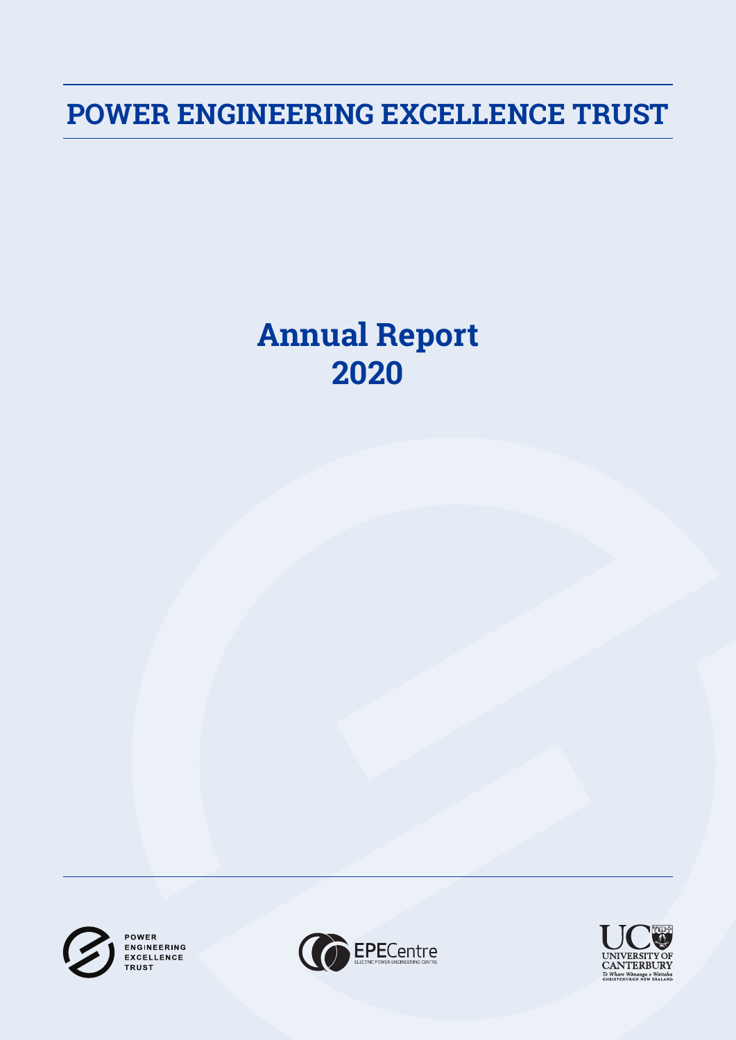**POWER ENGINEERING EXCELLENCE TRUST**

# **Annual Report 2020**



POWER **ENGINEERING** EXCELLENCE **TRUST** 



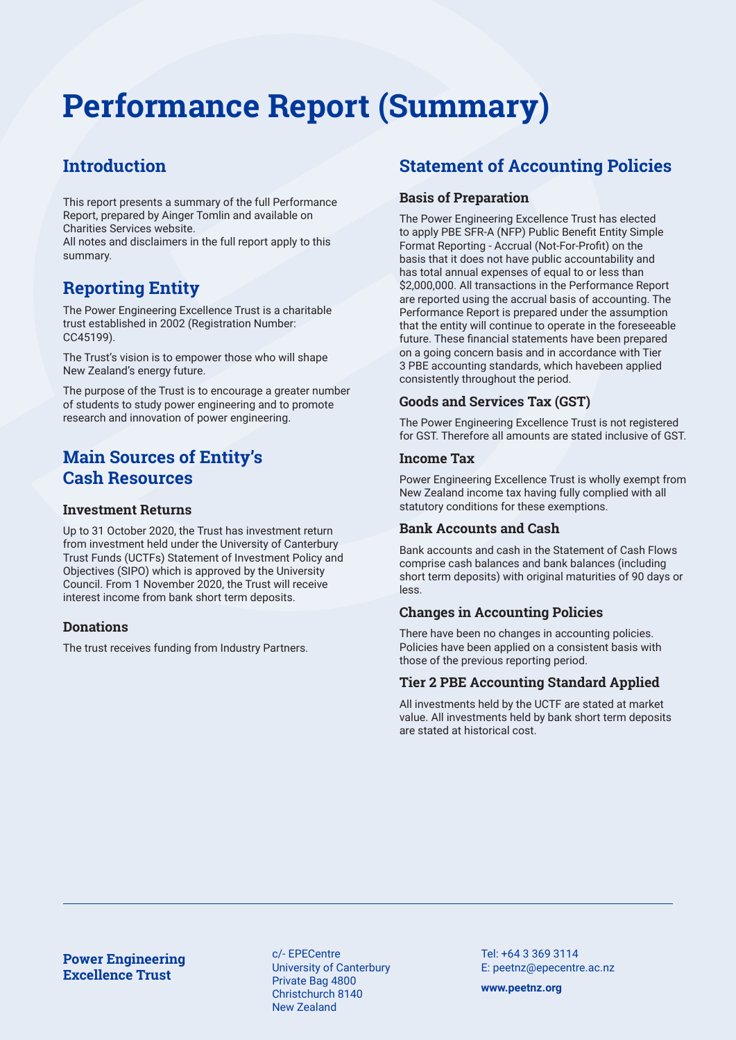# **Performance Report (Summary)**

# **Introduction**

This report presents a summary of the full Performance Report, prepared by Ainger Tomlin and available on Charities Services website.

All notes and disclaimers in the full report apply to this summary.

# **Reporting Entity**

The Power Engineering Excellence Trust is a charitable trust established in 2002 (Registration Number: CC45199).

The Trust's vision is to empower those who will shape New Zealand's energy future.

The purpose of the Trust is to encourage a greater number of students to study power engineering and to promote research and innovation of power engineering.

# **Main Sources of Entity's Cash Resources**

## **Investment Returns**

Up to 31 October 2020, the Trust has investment return from investment held under the University of Canterbury Trust Funds (UCTFs) Statement of Investment Policy and Objectives (SIPO) which is approved by the University Council. From 1 November 2020, the Trust will receive interest income from bank short term deposits.

## **Donations**

The trust receives funding from Industry Partners.

# **Statement of Accounting Policies**

## **Basis of Preparation**

The Power Engineering Excellence Trust has elected to apply PBE SFR-A (NFP) Public Benefit Entity Simple Format Reporting - Accrual (Not-For-Profit) on the basis that it does not have public accountability and has total annual expenses of equal to or less than \$2,000,000. All transactions in the Performance Report are reported using the accrual basis of accounting. The Performance Report is prepared under the assumption that the entity will continue to operate in the foreseeable future. These financial statements have been prepared on a going concern basis and in accordance with Tier 3 PBE accounting standards, which havebeen applied consistently throughout the period.

# **Goods and Services Tax (GST)**

The Power Engineering Excellence Trust is not registered for GST. Therefore all amounts are stated inclusive of GST.

## **Income Tax**

Power Engineering Excellence Trust is wholly exempt from New Zealand income tax having fully complied with all statutory conditions for these exemptions.

## **Bank Accounts and Cash**

Bank accounts and cash in the Statement of Cash Flows comprise cash balances and bank balances (including short term deposits) with original maturities of 90 days or less.

# **Changes in Accounting Policies**

There have been no changes in accounting policies. Policies have been applied on a consistent basis with those of the previous reporting period.

# **Tier 2 PBE Accounting Standard Applied**

All investments held by the UCTF are stated at market value. All investments held by bank short term deposits are stated at historical cost.

**Power Engineering Excellence Trust**

c/- EPECentre University of Canterbury Private Bag 4800 Christchurch 8140 New Zealand

Tel: +64 3 369 3114 E: peetnz@epecentre.ac.nz

**www.peetnz.org**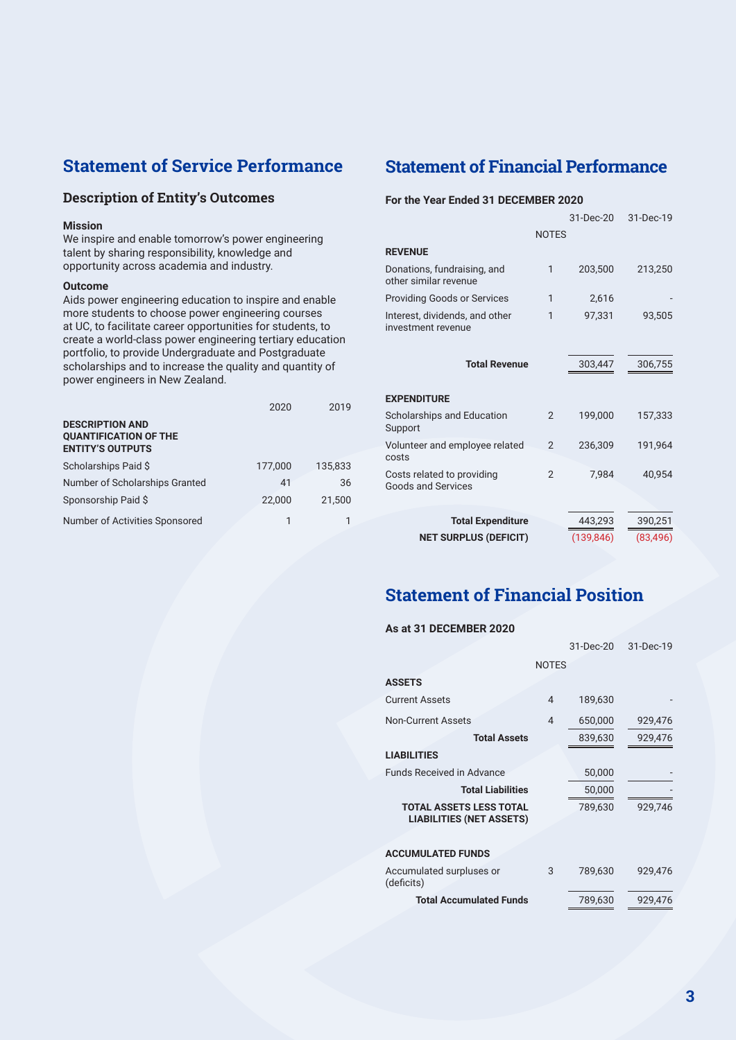# **Statement of Service Performance**

## **Description of Entity's Outcomes**

#### **Mission**

We inspire and enable tomorrow's power engineering talent by sharing responsibility, knowledge and opportunity across academia and industry.

#### **Outcome**

Aids power engineering education to inspire and enable more students to choose power engineering courses at UC, to facilitate career opportunities for students, to create a world-class power engineering tertiary education portfolio, to provide Undergraduate and Postgraduate scholarships and to increase the quality and quantity of power engineers in New Zealand.

|                                                                                   | 2020    | 2019    |
|-----------------------------------------------------------------------------------|---------|---------|
| <b>DESCRIPTION AND</b><br><b>QUANTIFICATION OF THE</b><br><b>ENTITY'S OUTPUTS</b> |         |         |
| Scholarships Paid \$                                                              | 177.000 | 135.833 |
| Number of Scholarships Granted                                                    | 41      | 36      |
| Sponsorship Paid \$                                                               | 22,000  | 21.500  |
| Number of Activities Sponsored                                                    | 1       |         |

# **Statement of Financial Performance**

### **For the Year Ended 31 DECEMBER 2020**

|                                                         |                | 31-Dec-20  | 31-Dec-19 |
|---------------------------------------------------------|----------------|------------|-----------|
|                                                         | <b>NOTES</b>   |            |           |
| <b>REVENUE</b>                                          |                |            |           |
| Donations, fundraising, and<br>other similar revenue    | 1              | 203,500    | 213,250   |
| <b>Providing Goods or Services</b>                      | 1              | 2,616      |           |
| Interest, dividends, and other<br>investment revenue    | 1              | 97,331     | 93,505    |
| <b>Total Revenue</b>                                    |                | 303,447    | 306,755   |
| <b>EXPENDITURE</b>                                      |                |            |           |
| Scholarships and Education<br>Support                   | 2              | 199,000    | 157,333   |
| Volunteer and employee related<br>costs                 | $\overline{2}$ | 236,309    | 191,964   |
| Costs related to providing<br><b>Goods and Services</b> | $\overline{2}$ | 7,984      | 40.954    |
| <b>Total Expenditure</b>                                |                | 443,293    | 390,251   |
| <b>NET SURPLUS (DEFICIT)</b>                            |                | (139, 846) | (83, 496) |
|                                                         |                |            |           |

# **Statement of Financial Position**

#### **As at 31 DECEMBER 2020**

|   | 31-Dec-20 | 31-Dec-19    |
|---|-----------|--------------|
|   |           |              |
|   |           |              |
| 4 | 189,630   |              |
| 4 | 650,000   | 929,476      |
|   | 839,630   | 929,476      |
|   |           |              |
|   | 50,000    |              |
|   | 50,000    |              |
|   | 789,630   | 929.746      |
|   |           |              |
| 3 | 789,630   | 929,476      |
|   | 789,630   | 929,476      |
|   |           | <b>NOTES</b> |